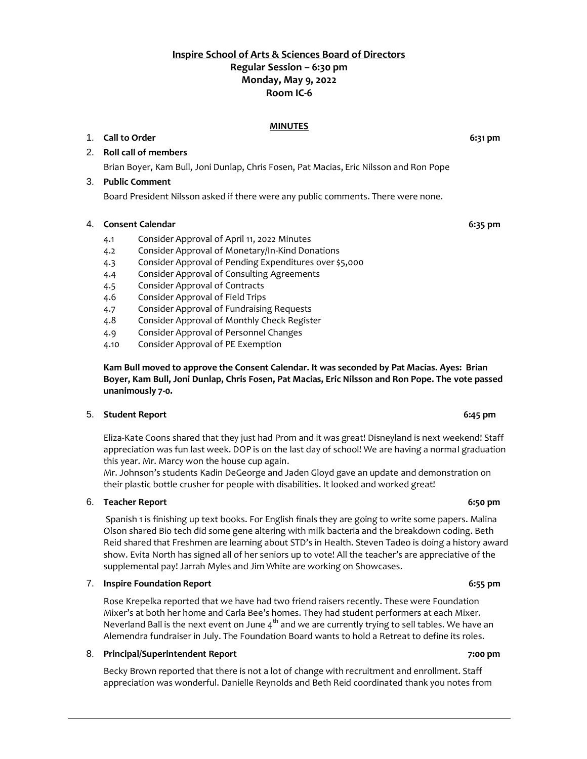# **Inspire School of Arts & Sciences Board of Directors Regular Session – 6:30 pm Monday, May 9, 2022 Room IC-6**

### **MINUTES**

### 1. **Call to Order 6:31 pm**

# 2. **Roll call of members**

Brian Boyer, Kam Bull, Joni Dunlap, Chris Fosen, Pat Macias, Eric Nilsson and Ron Pope

#### 3. **Public Comment**

Board President Nilsson asked if there were any public comments. There were none.

#### 4. **Consent Calendar 6:35 pm**

- 4.1 Consider Approval of April 11, 2022 Minutes
- 4.2 Consider Approval of Monetary/In-Kind Donations
- 4.3 Consider Approval of Pending Expenditures over \$5,000
- 4.4 Consider Approval of Consulting Agreements
- 4.5 Consider Approval of Contracts
- 4.6 Consider Approval of Field Trips
- 4.7 Consider Approval of Fundraising Requests
- 4.8 Consider Approval of Monthly Check Register
- 4.9 Consider Approval of Personnel Changes
- 4.10 Consider Approval of PE Exemption

## **Kam Bull moved to approve the Consent Calendar. It was seconded by Pat Macias. Ayes: Brian Boyer, Kam Bull, Joni Dunlap, Chris Fosen, Pat Macias, Eric Nilsson and Ron Pope. The vote passed unanimously 7-0.**

## 5. **Student Report 6:45 pm**

Eliza-Kate Coons shared that they just had Prom and it was great! Disneyland is next weekend! Staff appreciation was fun last week. DOP is on the last day of school! We are having a normal graduation this year. Mr. Marcy won the house cup again.

Mr. Johnson's students Kadin DeGeorge and Jaden Gloyd gave an update and demonstration on their plastic bottle crusher for people with disabilities. It looked and worked great!

#### 6. **Teacher Report 6:50 pm**

Spanish 1 is finishing up text books. For English finals they are going to write some papers. Malina Olson shared Bio tech did some gene altering with milk bacteria and the breakdown coding. Beth Reid shared that Freshmen are learning about STD's in Health. Steven Tadeo is doing a history award show. Evita North has signed all of her seniors up to vote! All the teacher's are appreciative of the supplemental pay! Jarrah Myles and Jim White are working on Showcases.

#### 7. **Inspire Foundation Report 6:55 pm**

Rose Krepelka reported that we have had two friend raisers recently. These were Foundation Mixer's at both her home and Carla Bee's homes. They had student performers at each Mixer. Neverland Ball is the next event on June 4<sup>th</sup> and we are currently trying to sell tables. We have an Alemendra fundraiser in July. The Foundation Board wants to hold a Retreat to define its roles.

## 8. **Principal/Superintendent Report 7:00 pm**

Becky Brown reported that there is not a lot of change with recruitment and enrollment. Staff appreciation was wonderful. Danielle Reynolds and Beth Reid coordinated thank you notes from